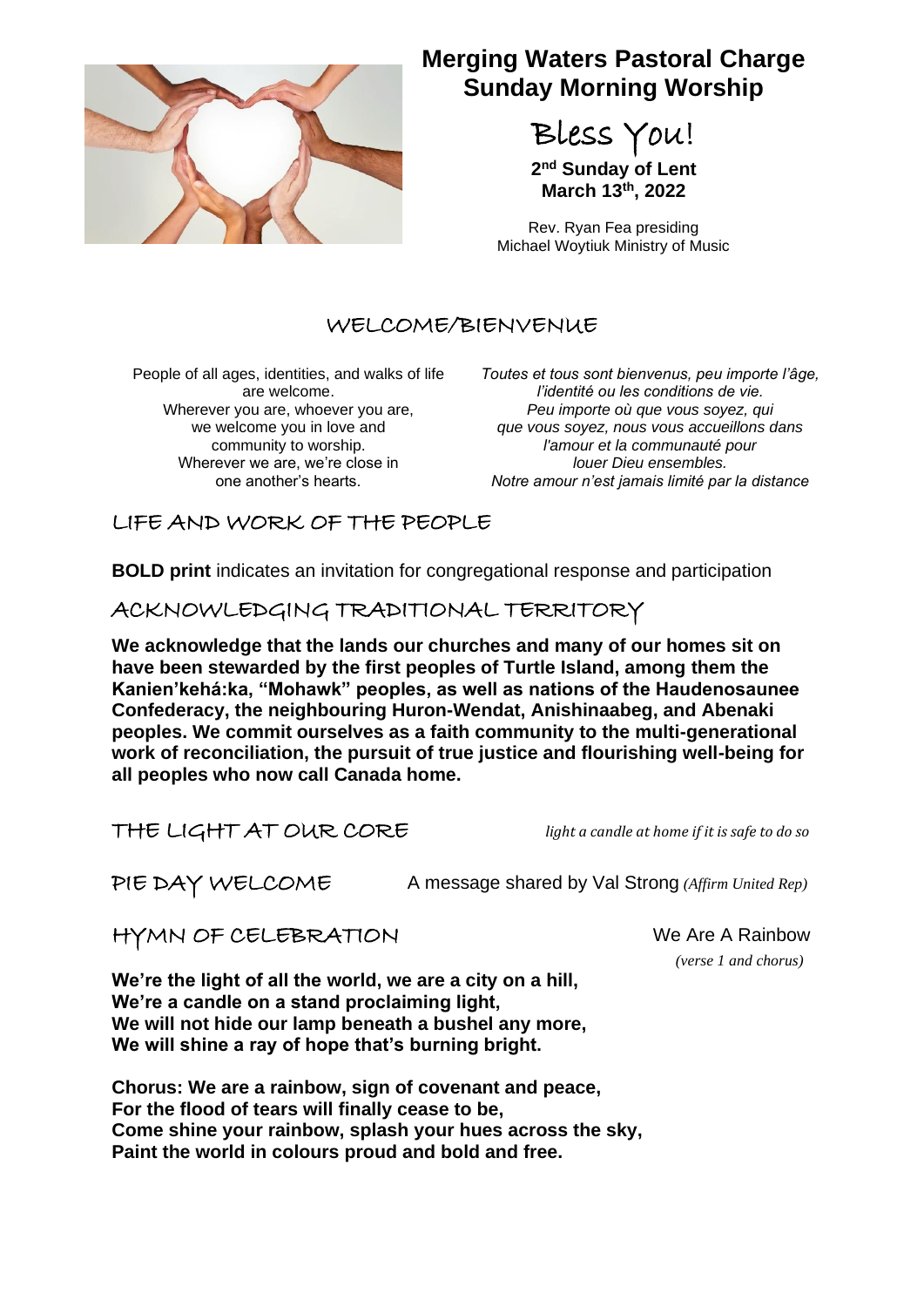

# **Merging Waters Pastoral Charge Sunday Morning Worship**

Bless You!

**2 nd Sunday of Lent March 13th, 2022**

Rev. Ryan Fea presiding Michael Woytiuk Ministry of Music

# WELCOME/BIENVENUE

People of all ages, identities, and walks of life are welcome. Wherever you are, whoever you are, we welcome you in love and community to worship. Wherever we are, we're close in one another's hearts.

*Toutes et tous sont bienvenus, peu importe l'âge, l'identité ou les conditions de vie. Peu importe où que vous soyez, qui que vous soyez, nous vous accueillons dans l'amour et la communauté pour louer Dieu ensembles. Notre amour n'est jamais limité par la distance*

# LIFE AND WORK OF THE PEOPLE

**BOLD print** indicates an invitation for congregational response and participation

ACKNOWLEDGING TRADITIONAL TERRITORY

**We acknowledge that the lands our churches and many of our homes sit on have been stewarded by the first peoples of Turtle Island, among them the Kanien'kehá:ka, "Mohawk" peoples, as well as nations of the Haudenosaunee Confederacy, the neighbouring Huron-Wendat, Anishinaabeg, and Abenaki peoples. We commit ourselves as a faith community to the multi-generational work of reconciliation, the pursuit of true justice and flourishing well-being for all peoples who now call Canada home.**

THE LIGHT AT OUR CORE *light a candle at home if it is safe to do so*

PIE DAY WELCOME A message shared by Val Strong *(Affirm United Rep)*

HYMN OF CELEBRATION We Are A Rainbow

*(verse 1 and chorus)*

**We're the light of all the world, we are a city on a hill, We're a candle on a stand proclaiming light, We will not hide our lamp beneath a bushel any more, We will shine a ray of hope that's burning bright.**

**Chorus: We are a rainbow, sign of covenant and peace, For the flood of tears will finally cease to be, Come shine your rainbow, splash your hues across the sky, Paint the world in colours proud and bold and free.**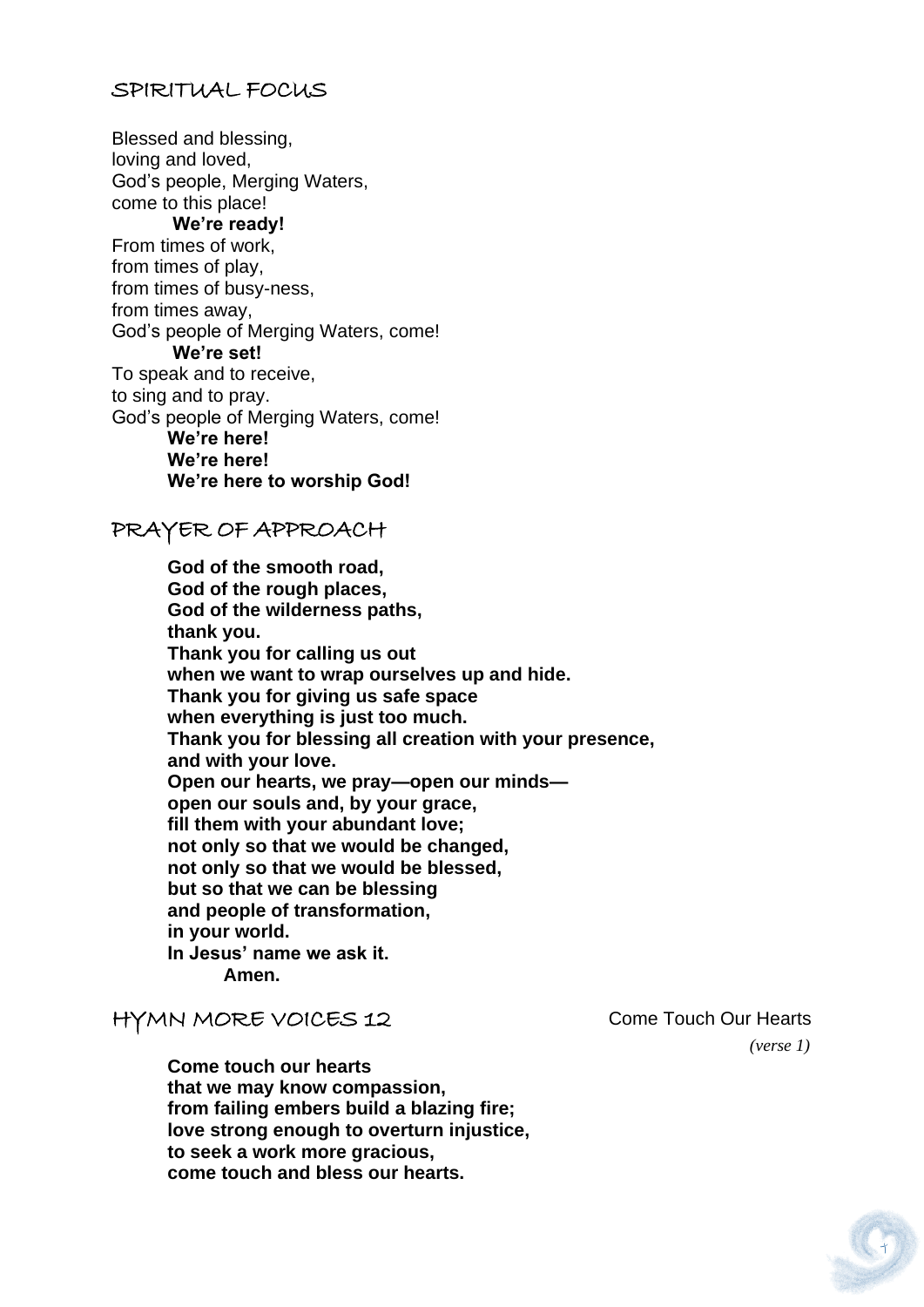#### SPIRITUAL FOCUS

Blessed and blessing, loving and loved, God's people, Merging Waters, come to this place! **We're ready!**  From times of work, from times of play, from times of busy-ness, from times away, God's people of Merging Waters, come! **We're set!**  To speak and to receive, to sing and to pray. God's people of Merging Waters, come! **We're here! We're here! We're here to worship God!**

### PRAYER OF APPROACH

**God of the smooth road, God of the rough places, God of the wilderness paths, thank you. Thank you for calling us out when we want to wrap ourselves up and hide. Thank you for giving us safe space when everything is just too much. Thank you for blessing all creation with your presence, and with your love. Open our hearts, we pray—open our minds open our souls and, by your grace, fill them with your abundant love; not only so that we would be changed, not only so that we would be blessed, but so that we can be blessing and people of transformation, in your world. In Jesus' name we ask it. Amen.**

#### HYMN MORE VOICES 12 Come Touch Our Hearts

**Come touch our hearts that we may know compassion, from failing embers build a blazing fire; love strong enough to overturn injustice, to seek a work more gracious, come touch and bless our hearts.**

*(verse 1)*

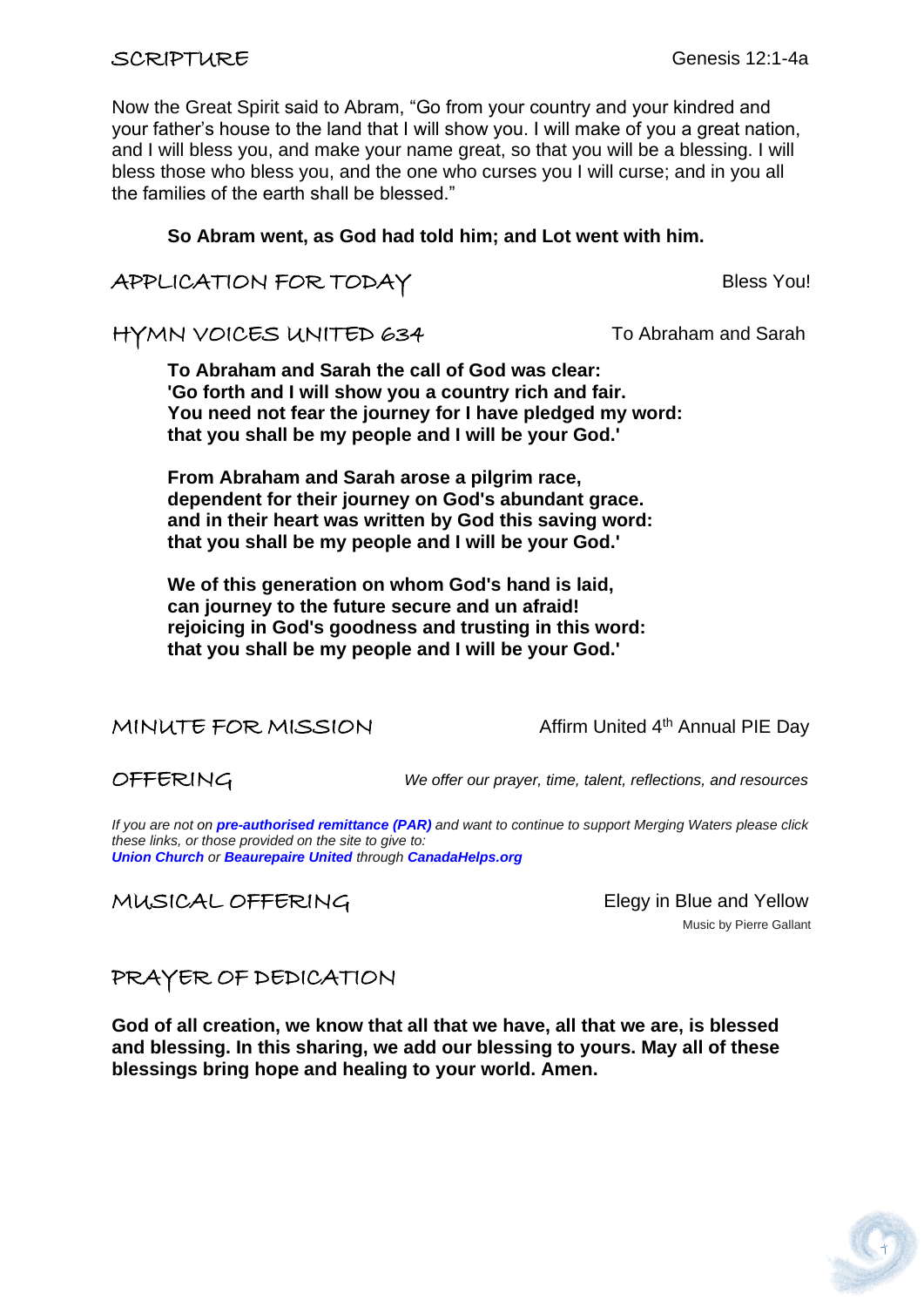Now the Great Spirit said to Abram, "Go from your country and your kindred and your father's house to the land that I will show you. I will make of you a great nation, and I will bless you, and make your name great, so that you will be a blessing. I will bless those who bless you, and the one who curses you I will curse; and in you all the families of the earth shall be blessed."

#### **So Abram went, as God had told him; and Lot went with him.**

### APPLICATION FOR TODAY Bless You!

HYMN VOICES UNITED 634 To Abraham and Sarah

**To Abraham and Sarah the call of God was clear: 'Go forth and I will show you a country rich and fair. You need not fear the journey for I have pledged my word: that you shall be my people and I will be your God.'**

**From Abraham and Sarah arose a pilgrim race, dependent for their journey on God's abundant grace. and in their heart was written by God this saving word: that you shall be my people and I will be your God.'**

**We of this generation on whom God's hand is laid, can journey to the future secure and un afraid! rejoicing in God's goodness and trusting in this word: that you shall be my people and I will be your God.'**

MINUTE FOR MISSION Affirm United 4th Annual PIE Day

OFFERING *We offer our prayer, time, talent, reflections, and resources*

*If you are not on pre-authorised [remittance \(PAR\)](http://mergingwaters.ca/mt-content/uploads/2020/03/form_par-authorization.pdf) and want to continue to support Merging Waters please click these links, or those provided on the site to give to: [Union Church](https://www.canadahelps.org/en/charities/union-church-ste-anne-de-bellevue/) or [Beaurepaire United](https://www.canadahelps.org/en/charities/beaurepaire-united-church/) through [CanadaHelps.org](http://www.canadahelps.org/)*

MUSICAL OFFERING Elegy in Blue and Yellow

Music by Pierre Gallant

# PRAYER OF DEDICATION

**God of all creation, we know that all that we have, all that we are, is blessed and blessing. In this sharing, we add our blessing to yours. May all of these blessings bring hope and healing to your world. Amen.**

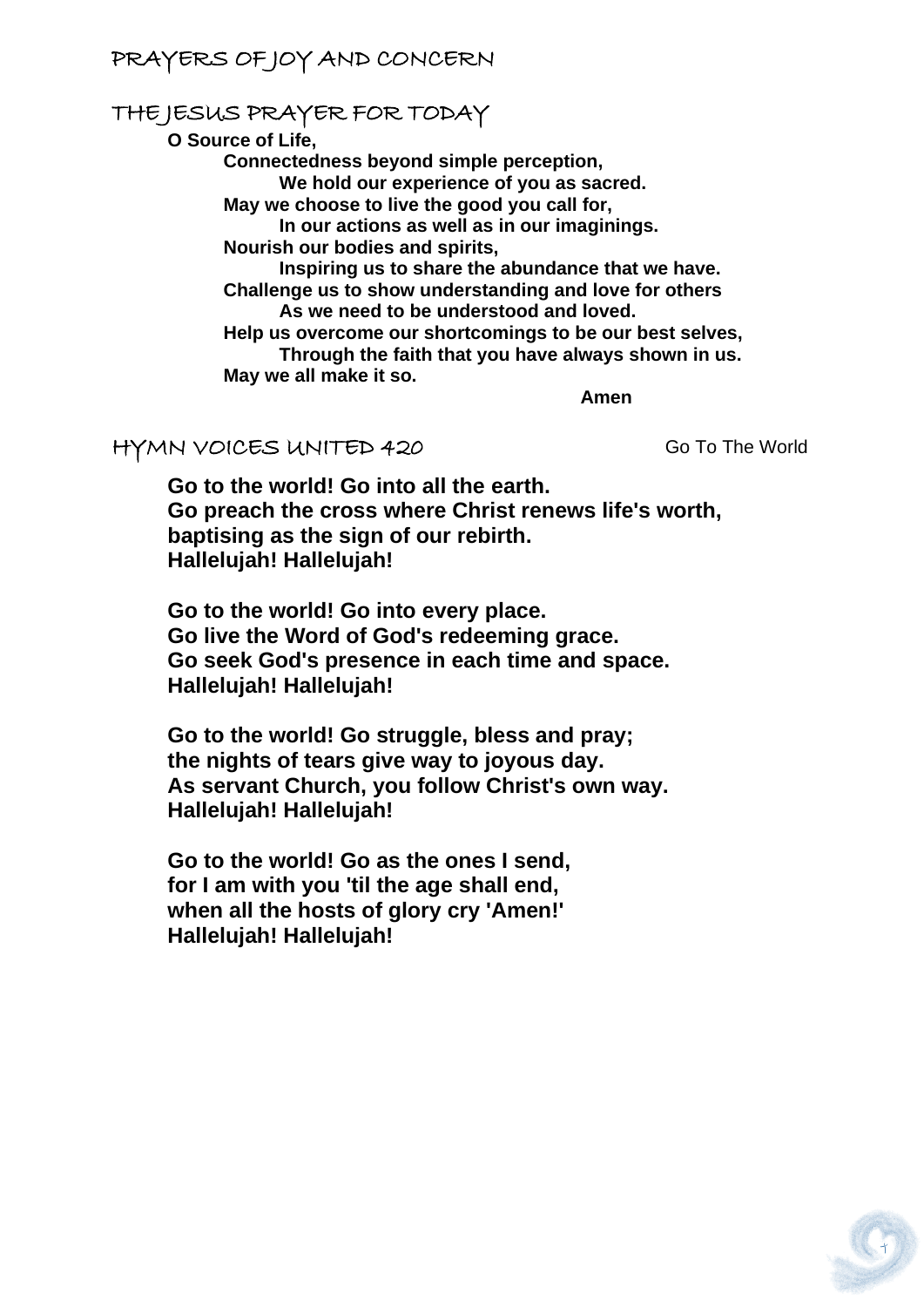# PRAYERS OF JOY AND CONCERN

# THE JESUS PRAYER FOR TODAY

**O Source of Life,**

**Connectedness beyond simple perception, We hold our experience of you as sacred. May we choose to live the good you call for, In our actions as well as in our imaginings. Nourish our bodies and spirits, Inspiring us to share the abundance that we have. Challenge us to show understanding and love for others As we need to be understood and loved. Help us overcome our shortcomings to be our best selves, Through the faith that you have always shown in us. May we all make it so.** *Amen* **Amen** 

#### HYMN VOICES UNITED 420 Go To The World

**Go to the world! Go into all the earth. Go preach the cross where Christ renews life's worth, baptising as the sign of our rebirth. Hallelujah! Hallelujah!**

**Go to the world! Go into every place. Go live the Word of God's redeeming grace. Go seek God's presence in each time and space. Hallelujah! Hallelujah!**

**Go to the world! Go struggle, bless and pray; the nights of tears give way to joyous day. As servant Church, you follow Christ's own way. Hallelujah! Hallelujah!**

**Go to the world! Go as the ones I send, for I am with you 'til the age shall end, when all the hosts of glory cry 'Amen!' Hallelujah! Hallelujah!**

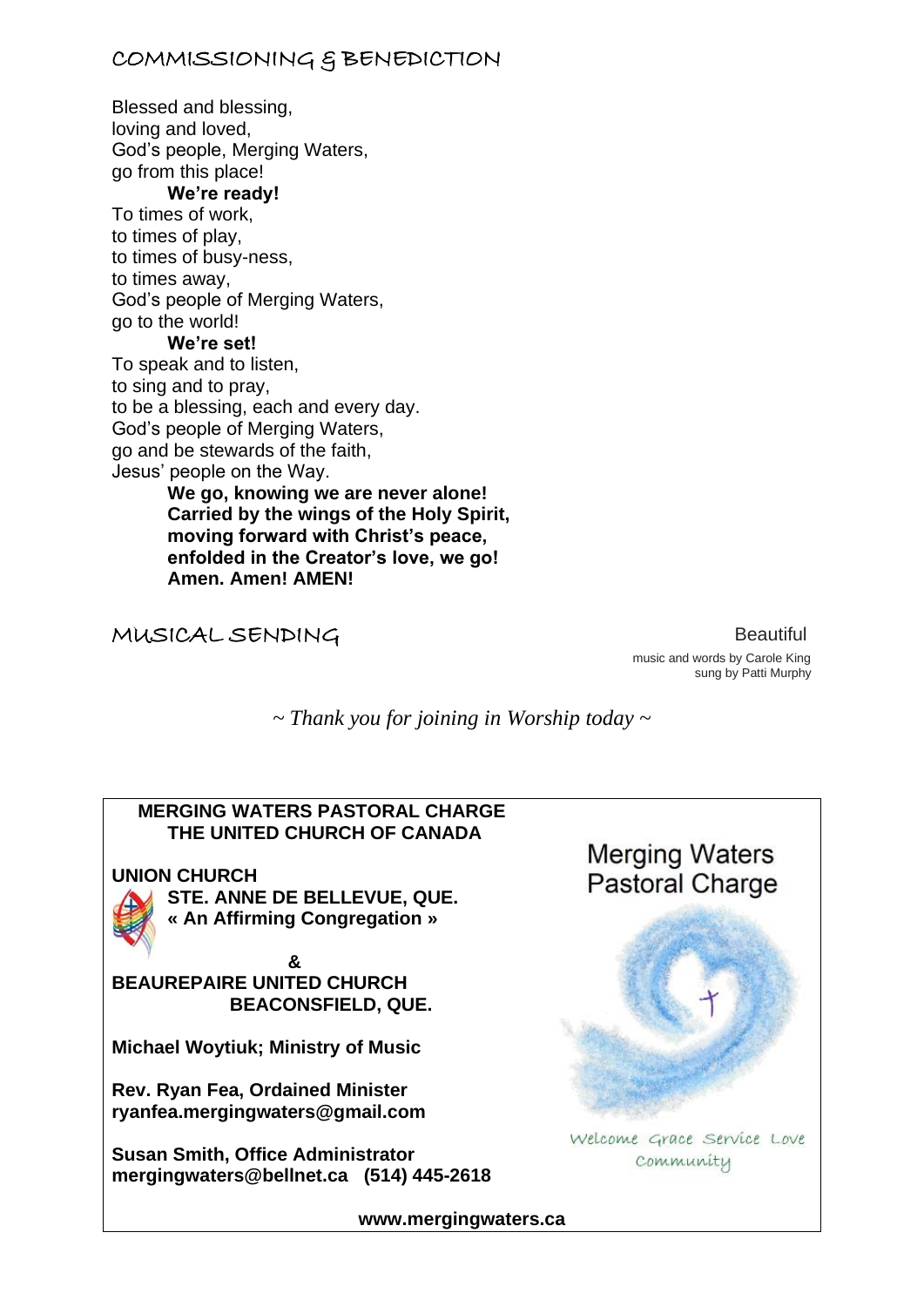# COMMISSIONING & BENEDICTION

Blessed and blessing, loving and loved, God's people, Merging Waters, go from this place! **We're ready!**  To times of work, to times of play, to times of busy-ness, to times away, God's people of Merging Waters, go to the world! **We're set!**  To speak and to listen, to sing and to pray, to be a blessing, each and every day. God's people of Merging Waters, go and be stewards of the faith, Jesus' people on the Way. **We go, knowing we are never alone! Carried by the wings of the Holy Spirit, moving forward with Christ's peace,** 

**enfolded in the Creator's love, we go!** 

MUSICAL SENDINGBeautiful

**Amen. Amen! AMEN!**

 music and words by Carole King sung by Patti Murphy

*~ Thank you for joining in Worship today ~*

# **MERGING WATERS PASTORAL CHARGE THE UNITED CHURCH OF CANADA Merging Waters UNION CHURCH Pastoral Charge STE. ANNE DE BELLEVUE, QUE. « An Affirming Congregation » & BEAUREPAIRE UNITED CHURCH BEACONSFIELD, QUE. Michael Woytiuk; Ministry of Music Rev. Ryan Fea, Ordained Minister [ryanfea.mergingwaters@gmail.com](mailto:ryanfea.mergingwaters@gmail.com)**  Welcome Grace Service Love **Susan Smith, Office Administrator** community **[mergingwaters@bellnet.ca](mailto:mergingwaters@bellnet.ca) (514) 445-2618**

**[www.mergingwaters.ca](http://www.mergingwaters.ca/)**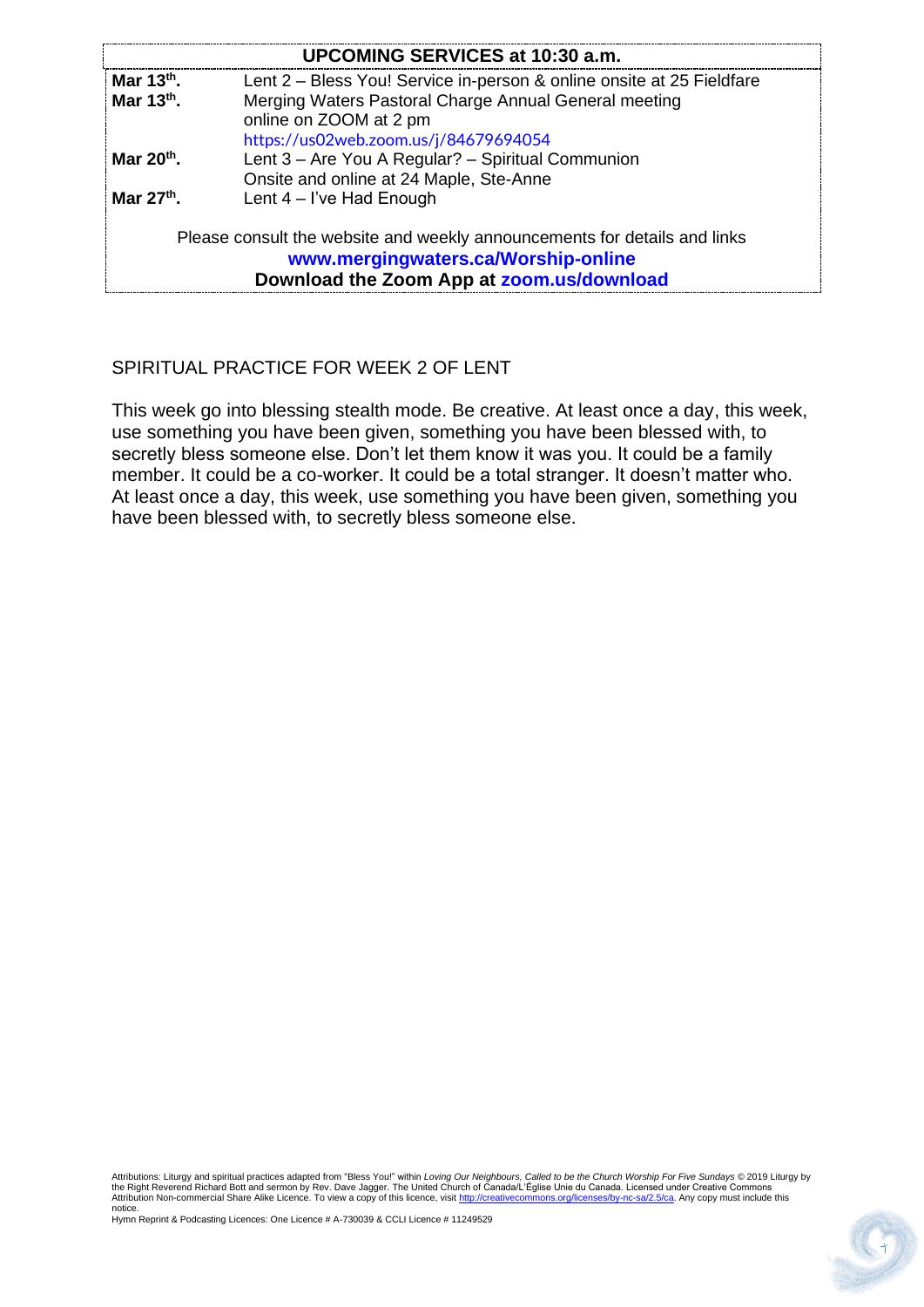| <b>UPCOMING SERVICES at 10:30 a.m.</b>                                                                                                                        |                                                                                 |
|---------------------------------------------------------------------------------------------------------------------------------------------------------------|---------------------------------------------------------------------------------|
| Mar $13th$ .                                                                                                                                                  | Lent 2 – Bless You! Service in-person & online onsite at 25 Fieldfare           |
| Mar $13th$ .                                                                                                                                                  | Merging Waters Pastoral Charge Annual General meeting<br>online on ZOOM at 2 pm |
|                                                                                                                                                               | https://us02web.zoom.us/j/84679694054                                           |
| Mar $20th$ .                                                                                                                                                  | Lent 3 – Are You A Regular? – Spiritual Communion                               |
|                                                                                                                                                               | Onsite and online at 24 Maple, Ste-Anne                                         |
| Mar $27th$ .                                                                                                                                                  | Lent $4 - l$ 've Had Enough                                                     |
| Please consult the website and weekly announcements for details and links<br>www.mergingwaters.ca/Worship-online<br>Download the Zoom App at zoom.us/download |                                                                                 |

#### SPIRITUAL PRACTICE FOR WEEK 2 OF LENT

This week go into blessing stealth mode. Be creative. At least once a day, this week, use something you have been given, something you have been blessed with, to secretly bless someone else. Don't let them know it was you. It could be a family member. It could be a co-worker. It could be a total stranger. It doesn't matter who. At least once a day, this week, use something you have been given, something you have been blessed with, to secretly bless someone else.

Attributions: Liturgy and spiritual practices adapted from "Bless You!" within *Loving Our Neighbours, Called to be the Church Worship For Five Sundays* © 2019 Liturgy by<br>the Right Reverend Richard Bott and sermon by Rev. notice.

Hymn Reprint & Podcasting Licences: One Licence # A-730039 & CCLI Licence # 11249529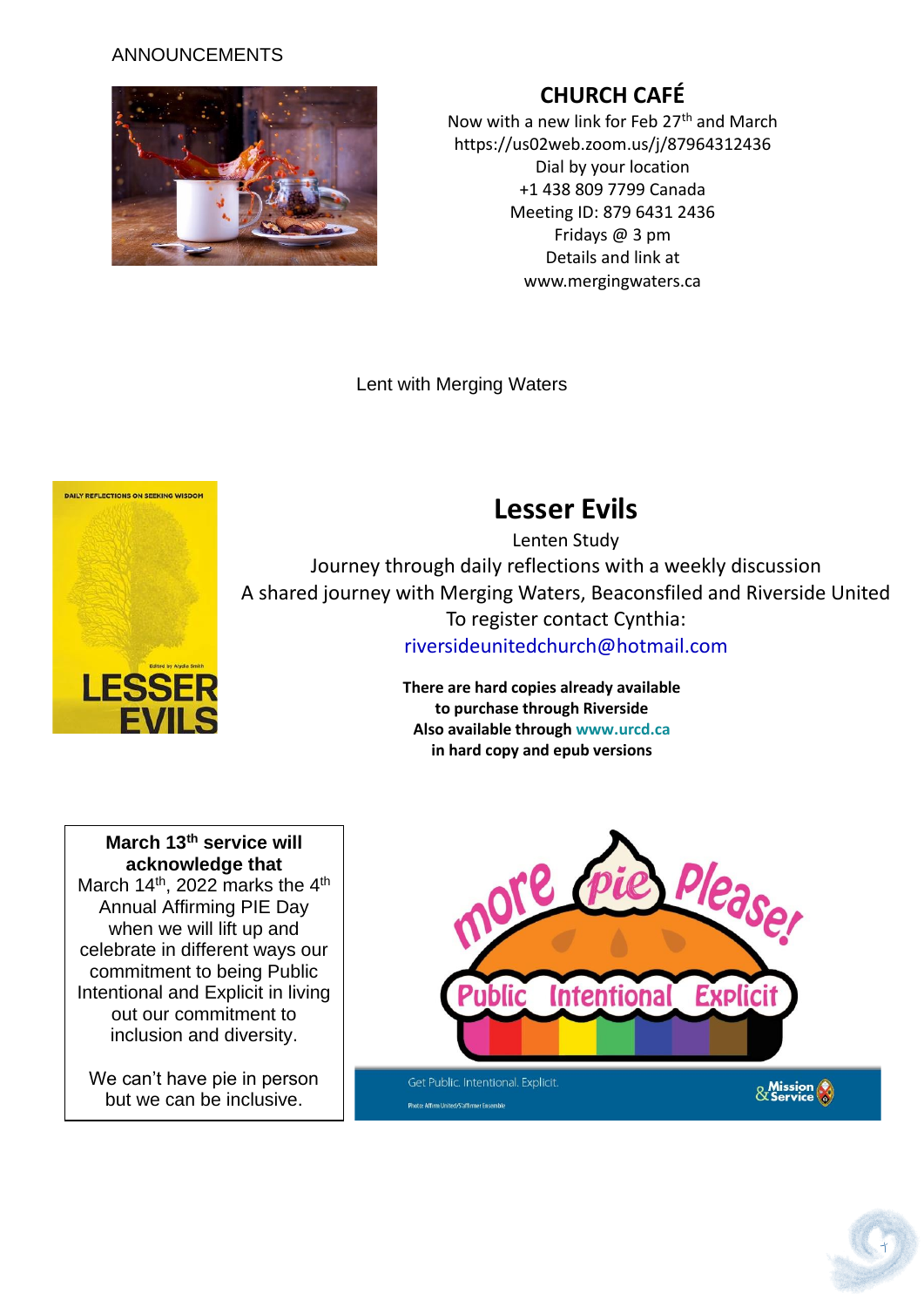#### ANNOUNCEMENTS



# **CHURCH CAFÉ**

Now with a new link for Feb 27<sup>th</sup> and March https://us02web.zoom.us/j/87964312436 Dial by your location +1 438 809 7799 Canada Meeting ID: 879 6431 2436 Fridays @ 3 pm Details and link at www.mergingwaters.ca

Lent with Merging Waters

Photo: Affirm United/S'affirmer Ensemble



# **Lesser Evils**

Lenten Study Journey through daily reflections with a weekly discussion A shared journey with Merging Waters, Beaconsfiled and Riverside United To register contact Cynthia: [riversideunitedchurch@hotmail.com](file:///F:/Services/Upcoming%20Services/Lent%202022/Lent%201%20-%20March%206th%202022/riversideunitedchurch@hotmail.com)

> **There are hard copies already available to purchase through Riverside Also available through [www.urcd.ca](http://www.urcd.ca/) in hard copy and epub versions**

**March 13th service will acknowledge that** March 14<sup>th</sup>, 2022 marks the 4<sup>th</sup> Annual Affirming PIE Day when we will lift up and celebrate in different ways our commitment to being Public Intentional and Explicit in living out our commitment to inclusion and diversity.

We can't have pie in person but we can be inclusive.

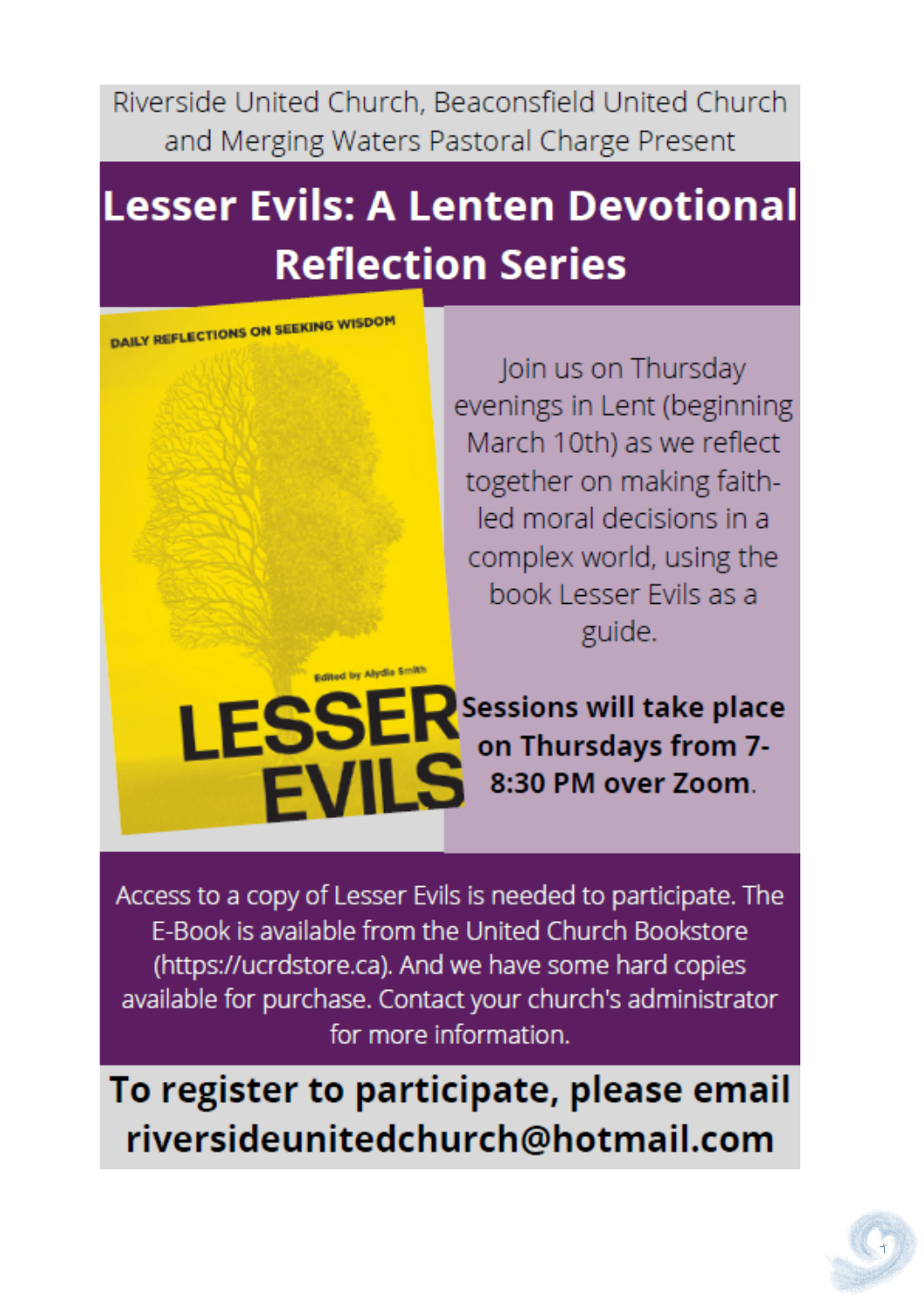Riverside United Church, Beaconsfield United Church and Merging Waters Pastoral Charge Present

# **Lesser Evils: A Lenten Devotional Reflection Series**

**DAILY REFLECTIONS ON SEEKING WISDOM** 

Join us on Thursday evenings in Lent (beginning March 10th) as we reflect together on making faithled moral decisions in a complex world, using the book Lesser Evils as a guide.

Edited by Alydia Smith **LESSER**<br>EVILS Sessions will take place on Thursdays from 7-8:30 PM over Zoom.

Access to a copy of Lesser Evils is needed to participate. The E-Book is available from the United Church Bookstore (https://ucrdstore.ca). And we have some hard copies available for purchase. Contact your church's administrator for more information.

To register to participate, please email riversideunitedchurch@hotmail.com